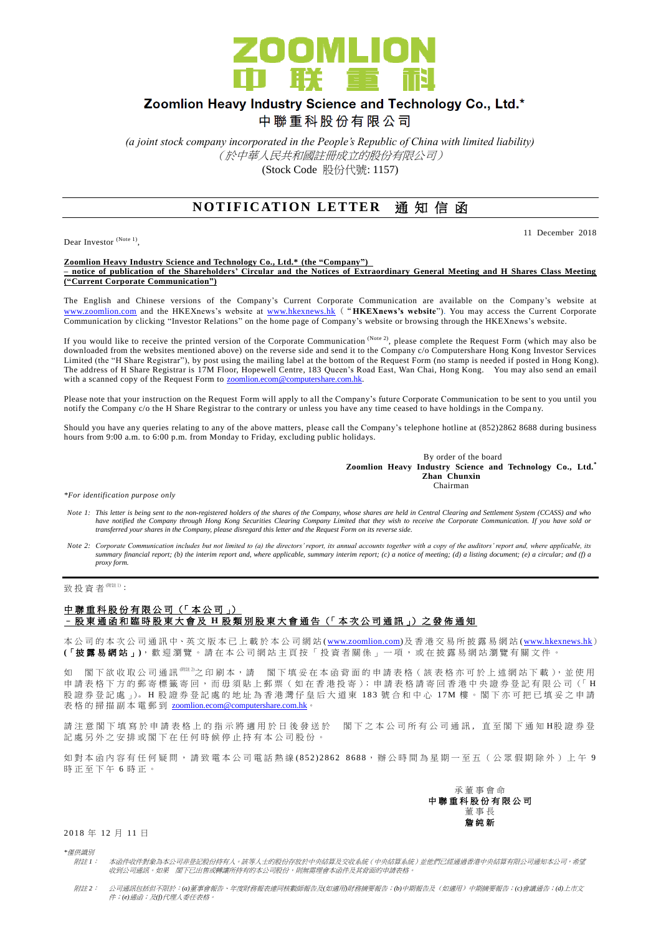

# Zoomlion Heavy Industry Science and Technology Co., Ltd.\*

中聯重科股份有限公司

*(a joint stock company incorporated in the People's Republic of China with limited liability)* (於中華人民共和國註冊成立的股份有限公司) (Stock Code 股份代號: 1157)

# **NOTIFICATION LETTER 通知信函**

Dear Investor (Note 1),

11 December 2018

**Zoomlion Heavy Industry Science and Technology Co., Ltd.\* (the "Company") – notice of publication of the Shareholders' Circular and the Notices of Extraordinary General Meeting and H Shares Class Meeting ("Current Corporate Communication")**

The English and Chinese versions of the Company's Current Corporate Communication are available on the Company's website at [www.zoomlion.com](http://www.zoomlion.com/) and the HKEXnews's website at [www.hkexnews.hk](http://www.hkexnews.hk/) ("**HKEXnews's website**"). You may access the Current Corporate Communication by clicking "Investor Relations" on the home page of Company's website or browsing through the HKEXnews's website.

If you would like to receive the printed version of the Corporate Communication  $^{(Note 2)}$ , please complete the Request Form (which may also be downloaded from the websites mentioned above) on the reverse side and send it to the Company c/o Computershare Hong Kong Investor Services Limited (the "H Share Registrar"), by post using the mailing label at the bottom of the Request Form (no stamp is needed if posted in Hong Kong). The address of H Share Registrar is 17M Floor, Hopewell Centre, 183 Queen's Road East, Wan Chai, Hong Kong. You may also send an email with a scanned copy of the Request Form to **zoomlion.ecom@computershare.com.hk.** 

Please note that your instruction on the Request Form will apply to all the Company's future Corporate Communication to be sent to you until you notify the Company c/o the H Share Registrar to the contrary or unless you have any time ceased to have holdings in the Compa ny.

Should you have any queries relating to any of the above matters, please call the Company's telephone hotline at (852)2862 8688 during business hours from 9:00 a.m. to 6:00 p.m. from Monday to Friday, excluding public holidays.

> By order of the board **Zoomlion Heavy Industry Science and Technology Co., Ltd.\* Zhan Chunxin** Chairman

*\*For identification purpose only*

- Note 1: This letter is being sent to the non-registered holders of the shares of the Company, whose shares are held in Central Clearing and Settlement System (CCASS) and who<br>have notified the Company through Hong Kong Secu *transferred your shares in the Company, please disregard this letter and the Request Form on its reverse side.*
- *Note 2: Corporate Communication includes but not limited to (a) the directors' report, its annual accounts together with a copy of the auditors' report and, where applicable, its summary financial report; (b) the interim report and, where applicable, summary interim report; (c) a notice of meeting; (d) a listing document; (e) a circular; and (f) a proxy form.*

致投資者 $<sup>(Mät1)</sup>$ :</sup>

#### 中聯重科股份有限公司 (「本公司」) – 股 東 通 函 和 臨 時 股 東 大 會 及 **H** 股 類 別 股 東 大 會 通 告 (「 本 次 公 司 通 訊 」) 之 發 佈 通 知

本公司的 本 次 公 司 通 訊 中、英 文 版 本 已 上 載於本 公 司 網 站 [\(www.zoomlion.com\)](http://www.zoomlion.com/)及香港交易所披露易網站 [\(www.hkexnews.hk](http://www.hkexnews.hk/)) **(**「披露易網站 」**)**,歡迎瀏覽。 請 在 本 公 司 網 站 主 頁 按 「 投 資 者 關 係 」 一 項 , 或 在 披 露 易 網 站 瀏 覽 有 關 文 件 。

如 閣下欲收取公司通訊<sup>《註2</sup>之印刷本,請 閣下填妥在本函背面的申請表格(該表格亦可於上述網站下載),並使用 申請表格下方的郵寄標籤寄回,而毋須貼上郵票(如在香港投寄);申請表格請寄回香港中央證券登記有限公司(「H 股證券登記處 」)。H股證券登記處的地址為香港灣仔皇后大道東 183號合和中心 17M樓。閣下亦可把已填妥之申請 表格的掃描副本電郵到 [zoomlion.ecom@computershare.com.hk](mailto:zoomlion.ecom@computershare.com.hk)。

請 注 意 閣 下 埴 寫 於 申 譜 表 格 上 的 指 示 將 滴 用 於 日 後 發 送 於 閣 下 之 本 公 司 所 有 公 司 诵 訊 , 直 至 閣 下 诵 知 H 股 證 券 登 記處另外之安排或閣下在任何時候停止持有本公司股份。

如對本函內容有任何疑問,請致電本公司電話熱線(852) 2862 8688,辦公時間為星期一至五(公眾假期除外)上午 9 時正至下午 6 時正。



#### 2018 年 12 月 11 日

*\**僅供識別

附註 *1*: 本函件收件對象為本公司非登記股份持有人。該等人士的股份存放於中央結算及交收系統(中央結算系統)並他們已經通過香港中央結算有限公司通知本公司,希望 收到公司通訊。如果 閣下已出售或轉讓所持有的本公司股份,則無需理會本函件及其背面的申請表格。

附註 *2*: 公司通訊包括但不限於:*(a)*董事會報告、年度財務報表連同核數師報告及*(*如適用*)*財務摘要報告;*(b)*中期報告及(如適用)中期摘要報告;*(c)*會議通告;*(d)*上市文 件;*(e)*通函;及*(f)*代理人委任表格。